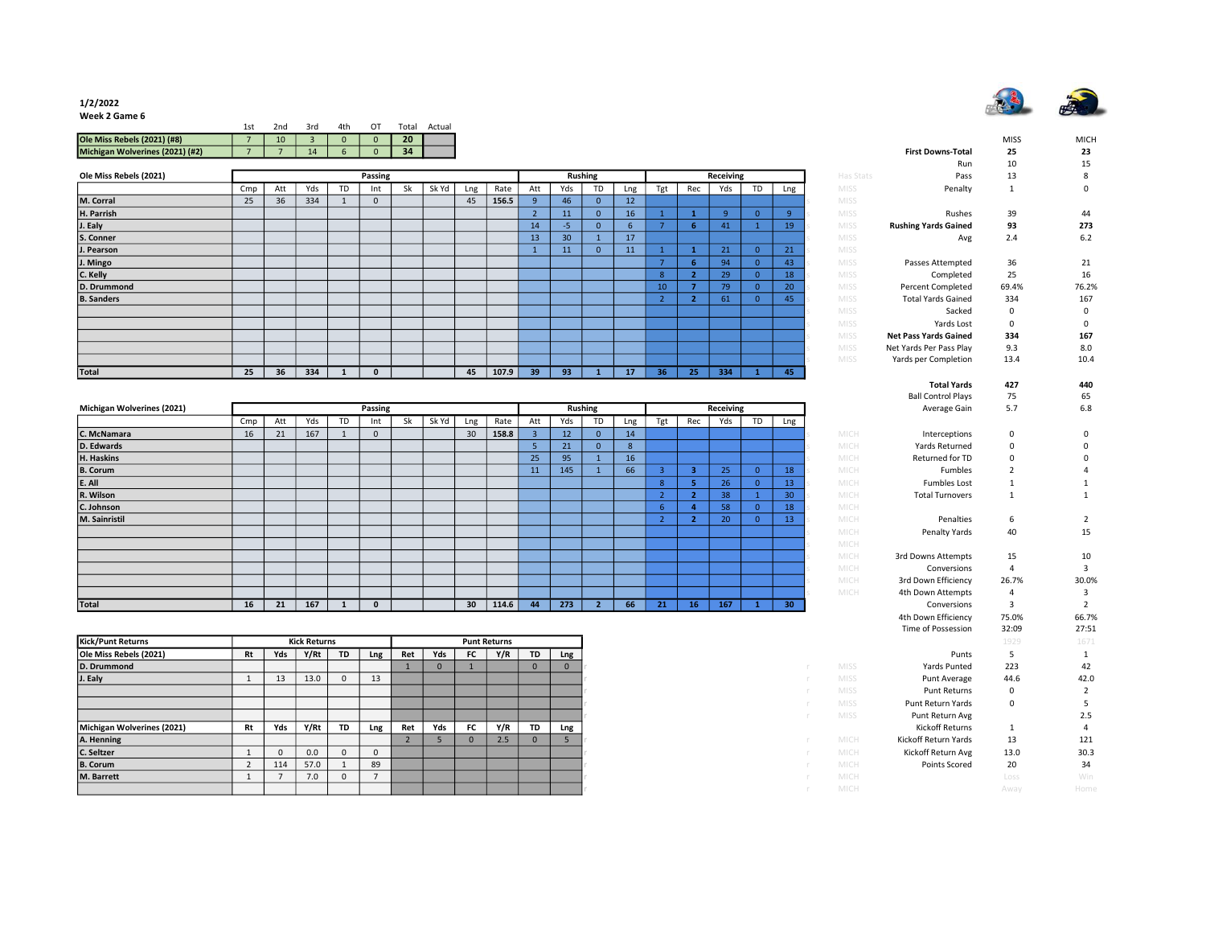

## 1/2/2022

Week 2 Game 6

| 1st | 2nd | 3rd | 4th | $\Omega$ |    | Actual                  |
|-----|-----|-----|-----|----------|----|-------------------------|
|     | 10  |     |     |          | 20 |                         |
|     |     | 14  |     | $\Omega$ | 34 |                         |
|     |     |     |     |          |    | Total<br>$\overline{0}$ |

| Ole Miss Rebels (2021) |     |     |     |    | Passing |    |       |     |       |     |                 | <b>Rushing</b> |                 |     |     | Receiving |           |         | Has Stats   | Pass                         | 13          | 8           |
|------------------------|-----|-----|-----|----|---------|----|-------|-----|-------|-----|-----------------|----------------|-----------------|-----|-----|-----------|-----------|---------|-------------|------------------------------|-------------|-------------|
|                        | Cmp | Att | Yds | TD | Int     | Sk | Sk Yd | Lng | Rate  | Att | Yds             | TD             | Lng             | Tgt | Rec | Yds       | <b>TD</b> | Lng     | <b>MISS</b> | Penalty                      |             | $\mathbf 0$ |
| M. Corral              | 25  | 36  | 334 |    |         |    |       | 45  | 156.5 |     | 46              | $\mathbf{0}$   | 12 <sup>2</sup> |     |     |           |           |         | <b>MISS</b> |                              |             |             |
| H. Parrish             |     |     |     |    |         |    |       |     |       |     | 11              | $\Omega$       | 16              |     |     |           |           | $\circ$ | <b>MISS</b> | Rushes                       | 39          | 44          |
| J. Ealy                |     |     |     |    |         |    |       |     |       | 14  | -5.             | $\mathbf{0}$   | n               |     | 6   | -41       |           | 19      | <b>MISS</b> | <b>Rushing Yards Gained</b>  | 93          | 273         |
| S. Conner              |     |     |     |    |         |    |       |     |       | 13  | 30 <sup>°</sup> |                | 17              |     |     |           |           |         | <b>MISS</b> | Avg                          | 2.4         | 6.2         |
| J. Pearson             |     |     |     |    |         |    |       |     |       |     | 11              | $\mathbf{0}$   | 11              |     |     | 21        |           | 21      | <b>MISS</b> |                              |             |             |
| J. Mingo               |     |     |     |    |         |    |       |     |       |     |                 |                |                 |     | -6  | 94        |           | 43      | <b>MISS</b> | Passes Attempted             | 36          | 21          |
| C. Kelly               |     |     |     |    |         |    |       |     |       |     |                 |                |                 | 8   |     | 29        |           | 18      | <b>MISS</b> | Completed                    | 25          | 16          |
| D. Drummond            |     |     |     |    |         |    |       |     |       |     |                 |                |                 | 10  |     | 79        |           | 20      | <b>MISS</b> | Percent Completed            | 69.4%       | 76.2%       |
| <b>B.</b> Sanders      |     |     |     |    |         |    |       |     |       |     |                 |                |                 |     |     | 61        |           | 45      | <b>MISS</b> | <b>Total Yards Gained</b>    | 334         | 167         |
|                        |     |     |     |    |         |    |       |     |       |     |                 |                |                 |     |     |           |           |         | <b>MISS</b> | Sacked                       | $\mathbf 0$ | $\mathbf 0$ |
|                        |     |     |     |    |         |    |       |     |       |     |                 |                |                 |     |     |           |           |         | <b>MISS</b> | Yards Lost                   | 0           | $\mathbf 0$ |
|                        |     |     |     |    |         |    |       |     |       |     |                 |                |                 |     |     |           |           |         | <b>MISS</b> | <b>Net Pass Yards Gained</b> | 334         | 167         |
|                        |     |     |     |    |         |    |       |     |       |     |                 |                |                 |     |     |           |           |         | MISS        | Net Yards Per Pass Play      | 9.3         | 8.0         |
|                        |     |     |     |    |         |    |       |     |       |     |                 |                |                 |     |     |           |           |         | <b>MISS</b> | Yards per Completion         | 13.4        | 10.4        |
| Total                  | 25  | 36  | 334 |    |         |    |       | 45  | 107.9 | 39  | 93 <sup>°</sup> |                | 17              | 36  | 25  | 334       |           | 45      |             |                              |             |             |

|                            |     |     |     |    |         |    |       |                 |       |     |                 |                |     |     |     |           |           |                 |      |                        | . .          | ິ     |
|----------------------------|-----|-----|-----|----|---------|----|-------|-----------------|-------|-----|-----------------|----------------|-----|-----|-----|-----------|-----------|-----------------|------|------------------------|--------------|-------|
| Michigan Wolverines (2021) |     |     |     |    | Passing |    |       |                 |       |     |                 | <b>Rushing</b> |     |     |     | Receiving |           |                 |      | Average Gain           | 5.7          | 6.8   |
|                            | Cmp | Att | Yds | TD | Int     | Sk | Sk Yd | Lng             | Rate  | Att | Yds             | <b>TD</b>      | Lng | Tgt | Rec | Yds       | <b>TD</b> | Lng             |      |                        |              |       |
| C. McNamara                | 16  | 21  | 167 |    |         |    |       | 30 <sup>°</sup> | 158.8 |     | 12 <sup>2</sup> | $\Omega$       | 14  |     |     |           |           |                 | MICH | Interceptions          | $\mathbf{0}$ |       |
| D. Edwards                 |     |     |     |    |         |    |       |                 |       |     | 21              | $\mathbf{0}$   | -8  |     |     |           |           |                 | MICH | Yards Returned         | $\Omega$     |       |
| H. Haskins                 |     |     |     |    |         |    |       |                 |       | 25  | 95              |                | 16  |     |     |           |           |                 | MICH | Returned for TD        | $\Omega$     |       |
| <b>B.</b> Corum            |     |     |     |    |         |    |       |                 |       | 11  | 145             |                | 66  |     | з   | 25        |           | 18              | MICH | Fumbles                |              |       |
| E. All                     |     |     |     |    |         |    |       |                 |       |     |                 |                |     |     | 5.  | 26        |           | 13              | MICH | <b>Fumbles Lost</b>    |              |       |
| R. Wilson                  |     |     |     |    |         |    |       |                 |       |     |                 |                |     |     | 2   | 38        |           | 30 <sup>°</sup> | MICH | <b>Total Turnovers</b> |              |       |
| C. Johnson                 |     |     |     |    |         |    |       |                 |       |     |                 |                |     |     |     | 58        |           | 18 <sup>1</sup> | MICH |                        |              |       |
| M. Sainristil              |     |     |     |    |         |    |       |                 |       |     |                 |                |     |     | 2   | 20        |           | 13              | MICH | Penalties              | 6            |       |
|                            |     |     |     |    |         |    |       |                 |       |     |                 |                |     |     |     |           |           |                 | MICH | Penalty Yards          | 40           | 15    |
|                            |     |     |     |    |         |    |       |                 |       |     |                 |                |     |     |     |           |           |                 | MICH |                        |              |       |
|                            |     |     |     |    |         |    |       |                 |       |     |                 |                |     |     |     |           |           |                 | MICH | 3rd Downs Attempts     | 15           | 10    |
|                            |     |     |     |    |         |    |       |                 |       |     |                 |                |     |     |     |           |           |                 | MICH | Conversions            |              |       |
|                            |     |     |     |    |         |    |       |                 |       |     |                 |                |     |     |     |           |           |                 | MICH | 3rd Down Efficiency    | 26.7%        | 30.0% |
|                            |     |     |     |    |         |    |       |                 |       |     |                 |                |     |     |     |           |           |                 | MICH | 4th Down Attempts      |              |       |
| Total                      | 16  | 21  | 167 |    |         |    |       | 30 <sub>2</sub> | 114.6 | 44  | 273             |                | 66  | 21  | 16  | 167       |           | 30              |      | Conversions            |              |       |

| <b>Kick/Punt Returns</b>   |    |     | <b>Kick Returns</b> |              |     |     |              |      | <b>Punt Returns</b> |           |     |
|----------------------------|----|-----|---------------------|--------------|-----|-----|--------------|------|---------------------|-----------|-----|
| Ole Miss Rebels (2021)     | Rt | Yds | Y/Rt                | <b>TD</b>    | Lng | Ret | Yds          | FC . | Y/R                 | <b>TD</b> | Lng |
| D. Drummond                |    |     |                     |              |     |     | $\mathbf{0}$ |      |                     | $\Omega$  |     |
| J. Ealy                    |    | 13  | 13.0                | $\mathbf{0}$ | 13  |     |              |      |                     |           |     |
|                            |    |     |                     |              |     |     |              |      |                     |           |     |
|                            |    |     |                     |              |     |     |              |      |                     |           |     |
|                            |    |     |                     |              |     |     |              |      |                     |           |     |
| Michigan Wolverines (2021) | Rt | Yds | Y/Rt                | <b>TD</b>    | Lng | Ret | Yds          | FC . | Y/R                 | <b>TD</b> | Lng |
| A. Henning                 |    |     |                     |              |     |     |              |      | 2.5                 |           |     |
| C. Seltzer                 |    |     | 0.0                 |              |     |     |              |      |                     |           |     |
| <b>B.</b> Corum            |    | 114 | 57.0                |              | 89  |     |              |      |                     |           |     |
| M. Barrett                 |    |     | 7.0                 |              |     |     |              |      |                     |           |     |
|                            |    |     |                     |              |     |     |              |      |                     |           |     |

|                |                 |                     |                     |                  |                               |          |                        | <b>First Downs-Total</b>     | <b>MISS</b><br>25 | <b>MICH</b><br>23 |
|----------------|-----------------|---------------------|---------------------|------------------|-------------------------------|----------|------------------------|------------------------------|-------------------|-------------------|
|                |                 |                     |                     |                  |                               |          |                        | Run                          | 10                | 15                |
| ıing           |                 |                     |                     | <b>Receiving</b> |                               |          | Has Stats              | Pass                         | 13                | 8                 |
| TD             | Lng             | Tgt                 | Rec                 | Yds              | TD                            | Lng      | <b>MISS</b>            | Penalty                      | 1                 | 0                 |
| $\overline{0}$ | 12              |                     |                     |                  |                               |          | <b>MISS</b>            |                              |                   |                   |
| $\mathbf{0}$   | 16              | $\mathbf{1}$        | $\mathbf 1$         | 9                | $\mathbf{0}$                  | 9        | MISS                   | Rushes                       | 39                | 44                |
| $\mathbf{0}$   | $6\phantom{1}6$ | $\overline{7}$      | 6                   | 41               | $\mathbf{1}$                  | 19       | <b>MISS</b><br>s       | <b>Rushing Yards Gained</b>  | 93                | 273               |
| $\overline{1}$ | 17              |                     |                     |                  |                               |          | <b>MISS</b><br>S       | Avg                          | 2.4               | 6.2               |
| $\overline{0}$ | 11              | $\mathbf{1}$        | $\mathbf{1}$        | 21               | $\overline{0}$                | 21       | MISS<br>S              |                              |                   |                   |
|                |                 | $\overline{7}$      | $6\phantom{1}$      | 94               | $\overline{0}$                | 43       | <b>MISS</b>            | Passes Attempted             | 36                | 21                |
|                |                 | 8                   | $\overline{2}$      | 29               | $\overline{0}$                | 18       | s<br><b>MISS</b>       | Completed                    | 25                | 16                |
|                |                 | 10                  | $\overline{7}$      | 79               | $\mathbf{0}$                  | 20       | S<br><b>MISS</b>       | <b>Percent Completed</b>     | 69.4%             | 76.2%             |
|                |                 | $\overline{2}$      | $\overline{2}$      | 61               | $\overline{0}$                | 45       | <b>MISS</b><br>S       | <b>Total Yards Gained</b>    | 334               | 167               |
|                |                 |                     |                     |                  |                               |          | <b>MISS</b><br>Ś       | Sacked                       | 0                 | 0                 |
|                |                 |                     |                     |                  |                               |          | MISS<br>s              | Yards Lost                   | $\mathbf 0$       | 0                 |
|                |                 |                     |                     |                  |                               |          | <b>MISS</b><br>Š       | <b>Net Pass Yards Gained</b> | 334               | 167               |
|                |                 |                     |                     |                  |                               |          | MISS<br>S              | Net Yards Per Pass Play      | 9.3               | 8.0               |
| $\mathbf{1}$   | $\overline{17}$ | 36                  | 25                  | 334              | $\mathbf{1}$                  | 45       | <b>MISS</b>            | Yards per Completion         | 13.4              | 10.4              |
|                |                 |                     |                     |                  |                               |          |                        | <b>Total Yards</b>           | 427               | 440               |
|                |                 |                     |                     |                  |                               |          |                        | <b>Ball Control Plays</b>    | 75                | 65                |
| ıing           |                 |                     |                     | Receiving        |                               |          |                        | Average Gain                 | 5.7               | 6.8               |
| TD             | Lng             | Tgt                 | Rec                 | Yds              | TD                            | Lng      |                        |                              |                   |                   |
| $\mathbf{0}$   | 14              |                     |                     |                  |                               |          | MICH                   | Interceptions                | 0                 | 0                 |
| $\mathbf{0}$   | 8               |                     |                     |                  |                               |          | MICH<br>S              | Yards Returned               | 0                 | 0                 |
| $\mathbf{1}$   | 16              |                     |                     |                  |                               |          | MICH<br>Ś              | Returned for TD              | 0                 | 0                 |
| $\mathbf 1$    | 66              | 3                   | 3                   | 25               | $\mathbf{0}$                  | 18       | MICH<br>Ś              | Fumbles                      | $\overline{2}$    | 4                 |
|                |                 | 8                   | 5                   | 26               | $\overline{0}$                | 13       | s<br>MICH              | <b>Fumbles Lost</b>          | 1                 | 1                 |
|                |                 | $\overline{a}$      | $\overline{a}$<br>4 | 38               | $\mathbf 1$<br>$\overline{0}$ | 30       | MICH<br>S              | <b>Total Turnovers</b>       | 1                 | $\mathbf 1$       |
|                |                 | 6<br>$\overline{2}$ | $\overline{2}$      | 58               | $\overline{0}$                | 18<br>13 | MICH<br>S              |                              |                   | $\overline{2}$    |
|                |                 |                     |                     | 20               |                               |          | MICH<br>S<br>MICH<br>s | Penalties<br>Penalty Yards   | 6<br>40           | 15                |
|                |                 |                     |                     |                  |                               |          | s<br>MICH              |                              |                   |                   |
|                |                 |                     |                     |                  |                               |          | MICH<br>s              | 3rd Downs Attempts           | 15                | 10                |
|                |                 |                     |                     |                  |                               |          | MICH<br>Ś              | Conversions                  | 4                 | 3                 |
|                |                 |                     |                     |                  |                               |          | Ś<br>MICH              | 3rd Down Efficiency          | 26.7%             | 30.0%             |
|                |                 |                     |                     |                  |                               |          | MICH<br>¢              | 4th Down Attempts            | 4                 | 3                 |
| $\overline{2}$ | 66              | 21                  | 16                  | 167              | $\mathbf{1}$                  | 30       |                        | Conversions                  | 3                 | $\overline{2}$    |
|                |                 |                     |                     |                  |                               |          |                        | 4th Down Efficiency          | 75.0%             | 66.7%             |
|                |                 |                     |                     |                  |                               |          |                        | Time of Possession           | 32:09             | 27:51             |
|                |                 |                     |                     |                  |                               |          |                        |                              | 1929              | 1671              |
|                |                 |                     |                     |                  |                               |          |                        | Punts                        | 5                 | $\mathbf{1}$      |
|                |                 |                     |                     |                  |                               |          | <b>MISS</b>            | Yards Punted                 | 223               | 42                |
|                |                 |                     |                     |                  |                               |          | MISS                   | Punt Average                 | 44.6              | 42.0              |
| r              |                 |                     |                     |                  |                               |          | MISS                   | <b>Punt Returns</b>          | 0                 | $\overline{2}$    |
| r              |                 |                     |                     |                  |                               |          | <b>MISS</b>            | Punt Return Yards            | 0                 | 5                 |
| r              |                 |                     |                     |                  |                               |          | <b>MISS</b>            | Punt Return Avg              |                   | 2.5               |
|                |                 |                     |                     |                  |                               |          |                        | Kickoff Returns              | 1                 | 4                 |
| ŕ              |                 |                     |                     |                  |                               |          | MICH                   | Kickoff Return Yards         | 13                | 121               |
| r              |                 |                     |                     |                  |                               |          | MICH                   | Kickoff Return Avg           | 13.0              | 30.3              |
| ŕ              |                 |                     |                     |                  |                               |          | MICH                   | <b>Points Scored</b>         | 20                | 34                |
|                |                 |                     |                     |                  |                               |          | MICH                   |                              | Loss              | <b>Win</b>        |
|                |                 |                     |                     |                  |                               |          | MICH                   |                              | Away              | Home              |